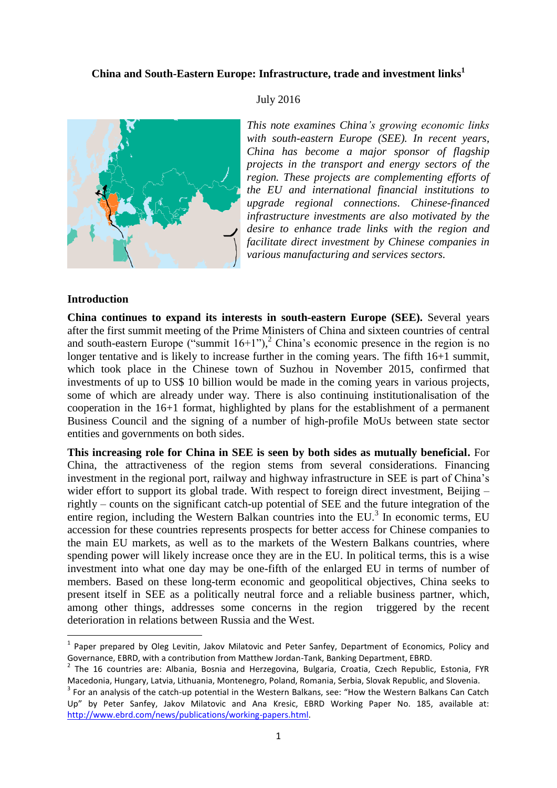# **China and South-Eastern Europe: Infrastructure, trade and investment links<sup>1</sup>**

## July 2016

*This note examines China's growing economic links with south-eastern Europe (SEE). In recent years, China has become a major sponsor of flagship projects in the transport and energy sectors of the region. These projects are complementing efforts of the EU and international financial institutions to upgrade regional connections. Chinese-financed infrastructure investments are also motivated by the desire to enhance trade links with the region and facilitate direct investment by Chinese companies in various manufacturing and services sectors.*

## **Introduction**

**China continues to expand its interests in south-eastern Europe (SEE).** Several years after the first summit meeting of the Prime Ministers of China and sixteen countries of central and south-eastern Europe ("summit  $16+1$ "),<sup>2</sup> China's economic presence in the region is no longer tentative and is likely to increase further in the coming years. The fifth 16+1 summit, which took place in the Chinese town of Suzhou in November 2015, confirmed that investments of up to US\$ 10 billion would be made in the coming years in various projects, some of which are already under way. There is also continuing institutionalisation of the cooperation in the 16+1 format, highlighted by plans for the establishment of a permanent Business Council and the signing of a number of high-profile MoUs between state sector entities and governments on both sides.

**This increasing role for China in SEE is seen by both sides as mutually beneficial.** For China, the attractiveness of the region stems from several considerations. Financing investment in the regional port, railway and highway infrastructure in SEE is part of China's wider effort to support its global trade. With respect to foreign direct investment, Beijing – rightly – counts on the significant catch-up potential of SEE and the future integration of the entire region, including the Western Balkan countries into the EU.<sup>3</sup> In economic terms, EU accession for these countries represents prospects for better access for Chinese companies to the main EU markets, as well as to the markets of the Western Balkans countries, where spending power will likely increase once they are in the EU. In political terms, this is a wise investment into what one day may be one-fifth of the enlarged EU in terms of number of members. Based on these long-term economic and geopolitical objectives, China seeks to present itself in SEE as a politically neutral force and a reliable business partner, which, among other things, addresses some concerns in the region triggered by the recent deterioration in relations between Russia and the West.

**The Lands**<br><sup>1</sup> Paper prepared by Oleg Levitin, Jakov Milatovic and Peter Sanfey, Department of Economics, Policy and Governance, EBRD, with a contribution from Matthew Jordan-Tank, Banking Department, EBRD.

<sup>&</sup>lt;sup>2</sup> The 16 countries are: Albania, Bosnia and Herzegovina, Bulgaria, Croatia, Czech Republic, Estonia, FYR Macedonia, Hungary, Latvia, Lithuania, Montenegro, Poland, Romania, Serbia, Slovak Republic, and Slovenia.

 $3$  For an analysis of the catch-up potential in the Western Balkans, see: "How the Western Balkans Can Catch Up" by Peter Sanfey, Jakov Milatovic and Ana Kresic, EBRD Working Paper No. 185, available at: [http://www.ebrd.com/news/publications/working-papers.html.](http://www.ebrd.com/news/publications/working-papers.html)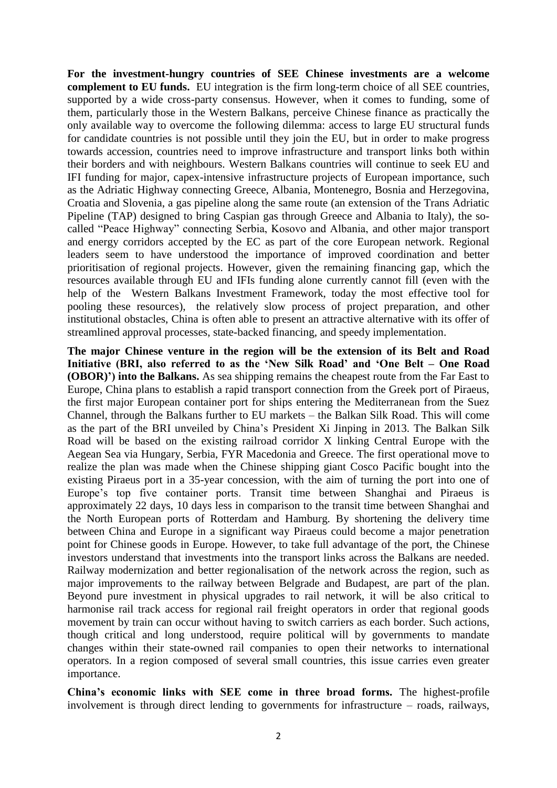**For the investment-hungry countries of SEE Chinese investments are a welcome complement to EU funds.** EU integration is the firm long-term choice of all SEE countries, supported by a wide cross-party consensus. However, when it comes to funding, some of them, particularly those in the Western Balkans, perceive Chinese finance as practically the only available way to overcome the following dilemma: access to large EU structural funds for candidate countries is not possible until they join the EU, but in order to make progress towards accession, countries need to improve infrastructure and transport links both within their borders and with neighbours. Western Balkans countries will continue to seek EU and IFI funding for major, capex-intensive infrastructure projects of European importance, such as the Adriatic Highway connecting Greece, Albania, Montenegro, Bosnia and Herzegovina, Croatia and Slovenia, a gas pipeline along the same route (an extension of the Trans Adriatic Pipeline (TAP) designed to bring Caspian gas through Greece and Albania to Italy), the socalled "Peace Highway" connecting Serbia, Kosovo and Albania, and other major transport and energy corridors accepted by the EC as part of the core European network. Regional leaders seem to have understood the importance of improved coordination and better prioritisation of regional projects. However, given the remaining financing gap, which the resources available through EU and IFIs funding alone currently cannot fill (even with the help of the Western Balkans Investment Framework, today the most effective tool for pooling these resources), the relatively slow process of project preparation, and other institutional obstacles, China is often able to present an attractive alternative with its offer of streamlined approval processes, state-backed financing, and speedy implementation.

**The major Chinese venture in the region will be the extension of its Belt and Road Initiative (BRI, also referred to as the 'New Silk Road' and 'One Belt – One Road (OBOR)') into the Balkans.** As sea shipping remains the cheapest route from the Far East to Europe, China plans to establish a rapid transport connection from the Greek port of Piraeus, the first major European container port for ships entering the Mediterranean from the Suez Channel, through the Balkans further to EU markets – the Balkan Silk Road. This will come as the part of the BRI unveiled by China's President Xi Jinping in 2013. The Balkan Silk Road will be based on the existing railroad corridor X linking Central Europe with the Aegean Sea via Hungary, Serbia, FYR Macedonia and Greece. The first operational move to realize the plan was made when the Chinese shipping giant Cosco Pacific bought into the existing Piraeus port in a 35-year concession, with the aim of turning the port into one of Europe's top five container ports. Transit time between Shanghai and Piraeus is approximately 22 days, 10 days less in comparison to the transit time between Shanghai and the North European ports of Rotterdam and Hamburg. By shortening the delivery time between China and Europe in a significant way Piraeus could become a major penetration point for Chinese goods in Europe. However, to take full advantage of the port, the Chinese investors understand that investments into the transport links across the Balkans are needed. Railway modernization and better regionalisation of the network across the region, such as major improvements to the railway between Belgrade and Budapest, are part of the plan. Beyond pure investment in physical upgrades to rail network, it will be also critical to harmonise rail track access for regional rail freight operators in order that regional goods movement by train can occur without having to switch carriers as each border. Such actions, though critical and long understood, require political will by governments to mandate changes within their state-owned rail companies to open their networks to international operators. In a region composed of several small countries, this issue carries even greater importance.

**China's economic links with SEE come in three broad forms.** The highest-profile involvement is through direct lending to governments for infrastructure – roads, railways,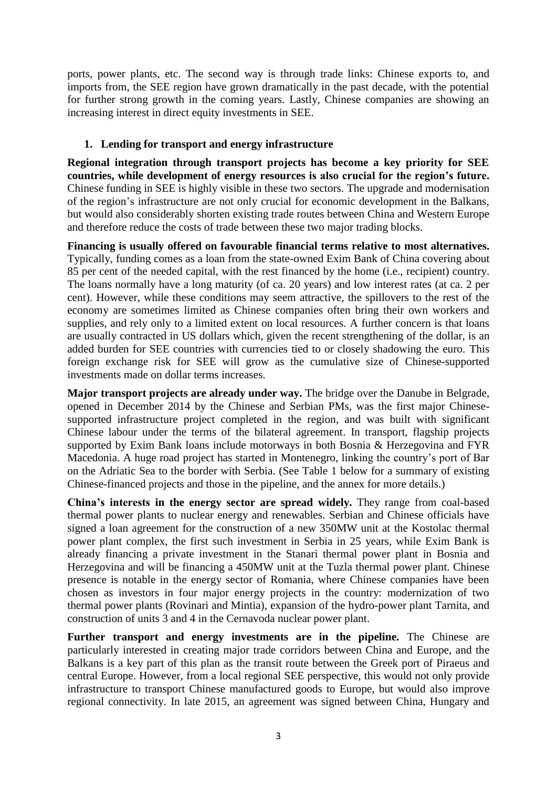ports, power plants, etc. The second way is through trade links: Chinese exports to, and imports from, the SEE region have grown dramatically in the past decade, with the potential for further strong growth in the coming years. Lastly, Chinese companies are showing an increasing interest in direct equity investments in SEE.

# **1. Lending for transport and energy infrastructure**

**Regional integration through transport projects has become a key priority for SEE countries, while development of energy resources is also crucial for the region's future.** Chinese funding in SEE is highly visible in these two sectors. The upgrade and modernisation of the region's infrastructure are not only crucial for economic development in the Balkans, but would also considerably shorten existing trade routes between China and Western Europe and therefore reduce the costs of trade between these two major trading blocks.

**Financing is usually offered on favourable financial terms relative to most alternatives.**  Typically, funding comes as a loan from the state-owned Exim Bank of China covering about 85 per cent of the needed capital, with the rest financed by the home (i.e., recipient) country. The loans normally have a long maturity (of ca. 20 years) and low interest rates (at ca. 2 per cent). However, while these conditions may seem attractive, the spillovers to the rest of the economy are sometimes limited as Chinese companies often bring their own workers and supplies, and rely only to a limited extent on local resources. A further concern is that loans are usually contracted in US dollars which, given the recent strengthening of the dollar, is an added burden for SEE countries with currencies tied to or closely shadowing the euro. This foreign exchange risk for SEE will grow as the cumulative size of Chinese-supported investments made on dollar terms increases.

**Major transport projects are already under way.** The bridge over the Danube in Belgrade, opened in December 2014 by the Chinese and Serbian PMs, was the first major Chinesesupported infrastructure project completed in the region, and was built with significant Chinese labour under the terms of the bilateral agreement. In transport, flagship projects supported by Exim Bank loans include motorways in both Bosnia & Herzegovina and FYR Macedonia. A huge road project has started in Montenegro, linking the country's port of Bar on the Adriatic Sea to the border with Serbia. (See Table 1 below for a summary of existing Chinese-financed projects and those in the pipeline, and the annex for more details.)

**China's interests in the energy sector are spread widely.** They range from coal-based thermal power plants to nuclear energy and renewables. Serbian and Chinese officials have signed a loan agreement for the construction of a new 350MW unit at the Kostolac thermal power plant complex, the first such investment in Serbia in 25 years, while Exim Bank is already financing a private investment in the Stanari thermal power plant in Bosnia and Herzegovina and will be financing a 450MW unit at the Tuzla thermal power plant. Chinese presence is notable in the energy sector of Romania, where Chinese companies have been chosen as investors in four major energy projects in the country: modernization of two thermal power plants (Rovinari and Mintia), expansion of the hydro-power plant Tarnita, and construction of units 3 and 4 in the Cernavoda nuclear power plant.

**Further transport and energy investments are in the pipeline.** The Chinese are particularly interested in creating major trade corridors between China and Europe, and the Balkans is a key part of this plan as the transit route between the Greek port of Piraeus and central Europe. However, from a local regional SEE perspective, this would not only provide infrastructure to transport Chinese manufactured goods to Europe, but would also improve regional connectivity. In late 2015, an agreement was signed between China, Hungary and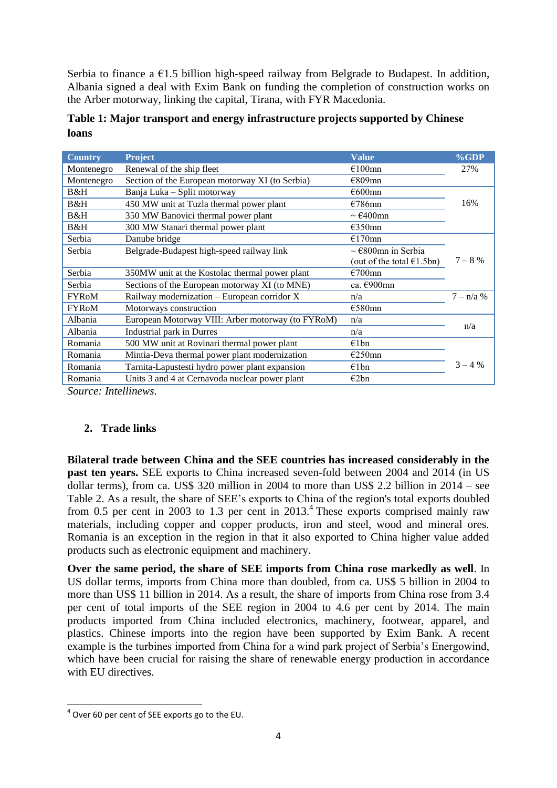Serbia to finance a  $\epsilon$ 1.5 billion high-speed railway from Belgrade to Budapest. In addition, Albania signed a deal with Exim Bank on funding the completion of construction works on the Arber motorway, linking the capital, Tirana, with FYR Macedonia.

| Table 1: Major transport and energy infrastructure projects supported by Chinese |  |
|----------------------------------------------------------------------------------|--|
| loans                                                                            |  |

| <b>Country</b> | <b>Project</b>                                    | <b>Value</b>                      | %GDP        |
|----------------|---------------------------------------------------|-----------------------------------|-------------|
| Montenegro     | Renewal of the ship fleet                         | $€100$ mn                         | 27%         |
| Montenegro     | Section of the European motorway XI (to Serbia)   | $€809$ mn                         |             |
| B&H            | Banja Luka - Split motorway                       | $€600$ mn                         |             |
| B&H            | 450 MW unit at Tuzla thermal power plant          | €786mn                            | 16%         |
| B&H            | 350 MW Banovici thermal power plant               | $\sim \text{\textsterling}400$ mn |             |
| B&H            | 300 MW Stanari thermal power plant                | €350mn                            |             |
| Serbia         | Danube bridge                                     | $€170$ mn                         |             |
| Serbia         | Belgrade-Budapest high-speed railway link         | $\sim \epsilon$ 800mn in Serbia   |             |
|                |                                                   | (out of the total $E1.5bn$ )      | $7 - 8 %$   |
| Serbia         | 350MW unit at the Kostolac thermal power plant    | $€700$ mn                         |             |
| Serbia         | Sections of the European motorway XI (to MNE)     | ca. €900mn                        |             |
| <b>FYRoM</b>   | Railway modernization - European corridor X       | n/a                               | $7 - n/a$ % |
| <b>FYRoM</b>   | Motorways construction                            | $€580$ mn                         |             |
| Albania        | European Motorway VIII: Arber motorway (to FYRoM) | n/a                               | n/a         |
| Albania        | Industrial park in Durres                         | n/a                               |             |
| Romania        | 500 MW unit at Rovinari thermal power plant       | $\in$ 1bn                         |             |
| Romania        | Mintia-Deva thermal power plant modernization     | $E250$ mn                         |             |
| Romania        | Tarnita-Lapustesti hydro power plant expansion    | €1bn                              | $3 - 4 %$   |
| Romania        | Units 3 and 4 at Cernavoda nuclear power plant    | E2bn                              |             |

*Source: Intellinews.*

# **2. Trade links**

**Bilateral trade between China and the SEE countries has increased considerably in the past ten years.** SEE exports to China increased seven-fold between 2004 and 2014 (in US dollar terms), from ca. US\$ 320 million in 2004 to more than US\$ 2.2 billion in 2014 – see Table 2. As a result, the share of SEE's exports to China of the region's total exports doubled from 0.5 per cent in 2003 to 1.3 per cent in 2013. 4 These exports comprised mainly raw materials, including copper and copper products, iron and steel, wood and mineral ores. Romania is an exception in the region in that it also exported to China higher value added products such as electronic equipment and machinery.

**Over the same period, the share of SEE imports from China rose markedly as well**. In US dollar terms, imports from China more than doubled, from ca. US\$ 5 billion in 2004 to more than US\$ 11 billion in 2014. As a result, the share of imports from China rose from 3.4 per cent of total imports of the SEE region in 2004 to 4.6 per cent by 2014. The main products imported from China included electronics, machinery, footwear, apparel, and plastics. Chinese imports into the region have been supported by Exim Bank. A recent example is the turbines imported from China for a wind park project of Serbia's Energowind, which have been crucial for raising the share of renewable energy production in accordance with EU directives.

**<sup>.</sup>**  $<sup>4</sup>$  Over 60 per cent of SEE exports go to the EU.</sup>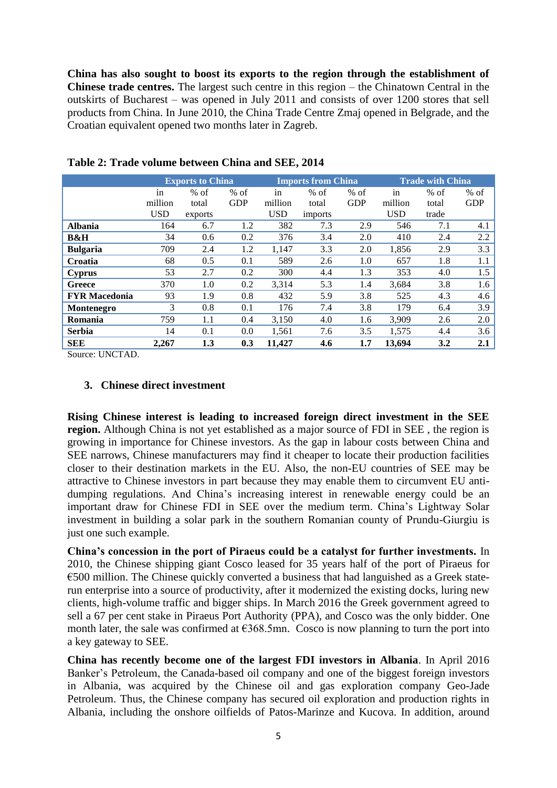**China has also sought to boost its exports to the region through the establishment of Chinese trade centres.** The largest such centre in this region – the Chinatown Central in the outskirts of Bucharest – was opened in July 2011 and consists of over 1200 stores that sell products from China. In June 2010, the China Trade Centre Zmaj opened in Belgrade, and the Croatian equivalent opened two months later in Zagreb.

|                      |               | <b>Exports to China</b> |                      | <b>Imports from China</b> |                 |                      | <b>Trade with China</b> |                 |                      |
|----------------------|---------------|-------------------------|----------------------|---------------------------|-----------------|----------------------|-------------------------|-----------------|----------------------|
|                      | in<br>million | $%$ of<br>total         | $%$ of<br><b>GDP</b> | in<br>million             | $%$ of<br>total | $%$ of<br><b>GDP</b> | in<br>million           | $%$ of<br>total | $%$ of<br><b>GDP</b> |
|                      | <b>USD</b>    | exports                 |                      | <b>USD</b>                | imports         |                      | <b>USD</b>              | trade           |                      |
| <b>Albania</b>       | 164           | 6.7                     | 1.2                  | 382                       | 7.3             | 2.9                  | 546                     | 7.1             | 4.1                  |
| <b>B&amp;H</b>       | 34            | 0.6                     | 0.2                  | 376                       | 3.4             | 2.0                  | 410                     | 2.4             | 2.2                  |
| <b>Bulgaria</b>      | 709           | 2.4                     | 1.2                  | 1,147                     | 3.3             | 2.0                  | 1,856                   | 2.9             | 3.3                  |
| Croatia              | 68            | 0.5                     | 0.1                  | 589                       | 2.6             | 1.0                  | 657                     | 1.8             | 1.1                  |
| Cyprus               | 53            | 2.7                     | 0.2                  | 300                       | 4.4             | 1.3                  | 353                     | 4.0             | 1.5                  |
| Greece               | 370           | 1.0                     | 0.2                  | 3.314                     | 5.3             | 1.4                  | 3,684                   | 3.8             | 1.6                  |
| <b>FYR Macedonia</b> | 93            | 1.9                     | 0.8                  | 432                       | 5.9             | 3.8                  | 525                     | 4.3             | 4.6                  |
| Montenegro           | 3             | 0.8                     | 0.1                  | 176                       | 7.4             | 3.8                  | 179                     | 6.4             | 3.9                  |
| Romania              | 759           | 1.1                     | 0.4                  | 3.150                     | 4.0             | 1.6                  | 3.909                   | 2.6             | 2.0                  |
| <b>Serbia</b>        | 14            | 0.1                     | 0.0                  | 1,561                     | 7.6             | 3.5                  | 1,575                   | 4.4             | 3.6                  |
| <b>SEE</b>           | 2,267         | 1.3                     | 0.3                  | 11,427                    | 4.6             | 1.7                  | 13,694                  | 3.2             | 2.1                  |

**Table 2: Trade volume between China and SEE, 2014**

Source: UNCTAD.

## **3. Chinese direct investment**

**Rising Chinese interest is leading to increased foreign direct investment in the SEE region.** Although China is not yet established as a major source of FDI in SEE , the region is growing in importance for Chinese investors. As the gap in labour costs between China and SEE narrows, Chinese manufacturers may find it cheaper to locate their production facilities closer to their destination markets in the EU. Also, the non-EU countries of SEE may be attractive to Chinese investors in part because they may enable them to circumvent EU antidumping regulations. And China's increasing interest in renewable energy could be an important draw for Chinese FDI in SEE over the medium term. China's Lightway Solar investment in building a solar park in the southern Romanian county of Prundu-Giurgiu is just one such example.

**China's concession in the port of Piraeus could be a catalyst for further investments.** In 2010, the Chinese shipping giant Cosco leased for 35 years half of the port of Piraeus for €500 million. The Chinese quickly converted a business that had languished as a Greek staterun enterprise into a source of productivity, after it modernized the existing docks, luring new clients, high-volume traffic and bigger ships. In March 2016 the Greek government agreed to sell a 67 per cent stake in Piraeus Port Authority (PPA), and Cosco was the only bidder. One month later, the sale was confirmed at  $\epsilon$ 368.5mn. Cosco is now planning to turn the port into a key gateway to SEE.

**China has recently become one of the largest FDI investors in Albania**. In April 2016 Banker's Petroleum, the Canada-based oil company and one of the biggest foreign investors in Albania, was acquired by the Chinese oil and gas exploration company Geo-Jade Petroleum. Thus, the Chinese company has secured oil exploration and production rights in Albania, including the onshore oilfields of Patos-Marinze and Kucova. In addition, around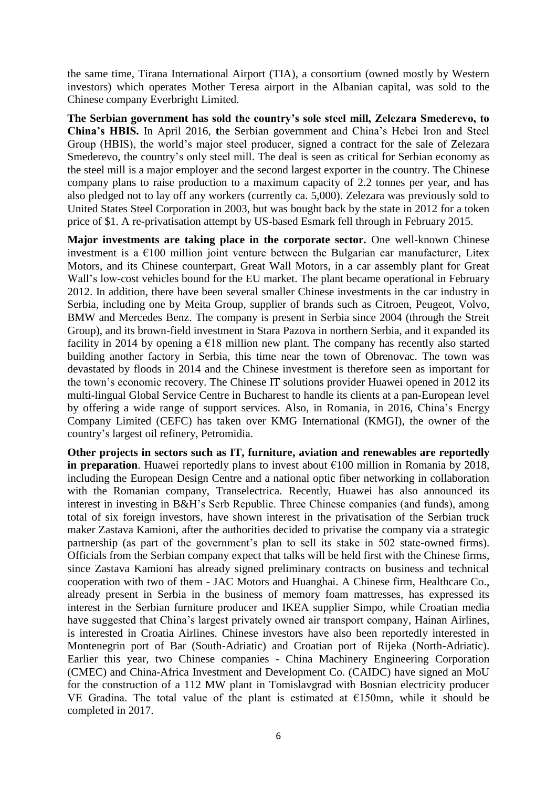the same time, Tirana International Airport (TIA), a consortium (owned mostly by Western investors) which operates Mother Teresa airport in the Albanian capital, was sold to the Chinese company Everbright Limited.

**The Serbian government has sold the country's sole steel mill, Zelezara Smederevo, to China's HBIS.** In April 2016, **t**he Serbian government and China's Hebei Iron and Steel Group (HBIS), the world's major steel producer, signed a contract for the sale of Zelezara Smederevo, the country's only steel mill. The deal is seen as critical for Serbian economy as the steel mill is a major employer and the second largest exporter in the country. The Chinese company plans to raise production to a maximum capacity of 2.2 tonnes per year, and has also pledged not to lay off any workers (currently ca. 5,000). Zelezara was previously sold to United States Steel Corporation in 2003, but was bought back by the state in 2012 for a token price of \$1. A re-privatisation attempt by US-based Esmark fell through in February 2015.

**Major investments are taking place in the corporate sector.** One well-known Chinese investment is a  $E100$  million joint venture between the Bulgarian car manufacturer, Litex Motors, and its Chinese counterpart, Great Wall Motors, in a car assembly plant for Great Wall's low-cost vehicles bound for the EU market. The plant became operational in February 2012. In addition, there have been several smaller Chinese investments in the car industry in Serbia, including one by Meita Group, supplier of brands such as Citroen, Peugeot, Volvo, BMW and Mercedes Benz. The company is present in Serbia since 2004 (through the Streit Group), and its brown-field investment in Stara Pazova in northern Serbia, and it expanded its facility in 2014 by opening a  $E18$  million new plant. The company has recently also started building another factory in Serbia, this time near the town of Obrenovac. The town was devastated by floods in 2014 and the Chinese investment is therefore seen as important for the town's economic recovery. The Chinese IT solutions provider Huawei opened in 2012 its multi-lingual Global Service Centre in Bucharest to handle its clients at a pan-European level by offering a wide range of support services. Also, in Romania, in 2016, China's Energy Company Limited (CEFC) has taken over KMG International (KMGI), the owner of the country's largest oil refinery, Petromidia.

**Other projects in sectors such as IT, furniture, aviation and renewables are reportedly in preparation**. Huawei reportedly plans to invest about  $\epsilon$ 100 million in Romania by 2018, including the European Design Centre and a national optic fiber networking in collaboration with the Romanian company, Transelectrica. Recently, Huawei has also announced its interest in investing in B&H's Serb Republic. Three Chinese companies (and funds), among total of six foreign investors, have shown interest in the privatisation of the Serbian truck maker Zastava Kamioni, after the authorities decided to privatise the company via a strategic partnership (as part of the government's plan to sell its stake in 502 state-owned firms). Officials from the Serbian company expect that talks will be held first with the Chinese firms, since Zastava Kamioni has already signed preliminary contracts on business and technical cooperation with two of them - JAC Motors and Huanghai. A Chinese firm, Healthcare Co., already present in Serbia in the business of memory foam mattresses, has expressed its interest in the Serbian furniture producer and IKEA supplier Simpo, while Croatian media have suggested that China's largest privately owned air transport company, Hainan Airlines, is interested in Croatia Airlines. Chinese investors have also been reportedly interested in Montenegrin port of Bar (South-Adriatic) and Croatian port of Rijeka (North-Adriatic). Earlier this year, two Chinese companies - China Machinery Engineering Corporation (CMEC) and China-Africa Investment and Development Co. (CAIDC) have signed an MoU for the construction of a 112 MW plant in Tomislavgrad with Bosnian electricity producer VE Gradina. The total value of the plant is estimated at  $E150$ mn, while it should be completed in 2017.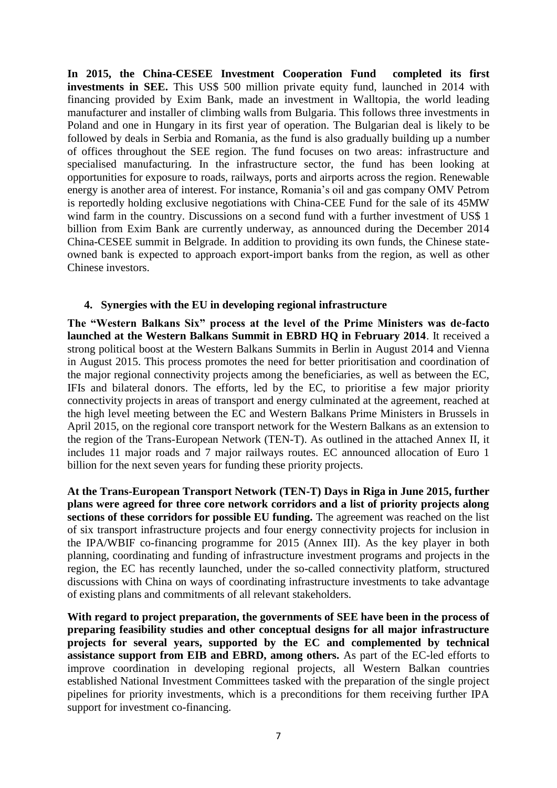**In 2015, the China-CESEE Investment Cooperation Fund completed its first investments in SEE.** This US\$ 500 million private equity fund, launched in 2014 with financing provided by Exim Bank, made an investment in Walltopia, the world leading manufacturer and installer of climbing walls from Bulgaria. This follows three investments in Poland and one in Hungary in its first year of operation. The Bulgarian deal is likely to be followed by deals in Serbia and Romania, as the fund is also gradually building up a number of offices throughout the SEE region. The fund focuses on two areas: infrastructure and specialised manufacturing. In the infrastructure sector, the fund has been looking at opportunities for exposure to roads, railways, ports and airports across the region. Renewable energy is another area of interest. For instance, Romania's oil and gas company OMV Petrom is reportedly holding exclusive negotiations with China-CEE Fund for the sale of its 45MW wind farm in the country. Discussions on a second fund with a further investment of US\$ 1 billion from Exim Bank are currently underway, as announced during the December 2014 China-CESEE summit in Belgrade. In addition to providing its own funds, the Chinese stateowned bank is expected to approach export-import banks from the region, as well as other Chinese investors.

# **4. Synergies with the EU in developing regional infrastructure**

**The "Western Balkans Six" process at the level of the Prime Ministers was de-facto launched at the Western Balkans Summit in EBRD HQ in February 2014**. It received a strong political boost at the Western Balkans Summits in Berlin in August 2014 and Vienna in August 2015. This process promotes the need for better prioritisation and coordination of the major regional connectivity projects among the beneficiaries, as well as between the EC, IFIs and bilateral donors. The efforts, led by the EC, to prioritise a few major priority connectivity projects in areas of transport and energy culminated at the agreement, reached at the high level meeting between the EC and Western Balkans Prime Ministers in Brussels in April 2015, on the regional core transport network for the Western Balkans as an extension to the region of the Trans-European Network (TEN-T). As outlined in the attached Annex II, it includes 11 major roads and 7 major railways routes. EC announced allocation of Euro 1 billion for the next seven years for funding these priority projects.

**At the Trans-European Transport Network (TEN-T) Days in Riga in June 2015, further plans were agreed for three core network corridors and a list of priority projects along sections of these corridors for possible EU funding.** The agreement was reached on the list of six transport infrastructure projects and four energy connectivity projects for inclusion in the IPA/WBIF co-financing programme for 2015 (Annex III). As the key player in both planning, coordinating and funding of infrastructure investment programs and projects in the region, the EC has recently launched, under the so-called connectivity platform, structured discussions with China on ways of coordinating infrastructure investments to take advantage of existing plans and commitments of all relevant stakeholders.

**With regard to project preparation, the governments of SEE have been in the process of preparing feasibility studies and other conceptual designs for all major infrastructure projects for several years, supported by the EC and complemented by technical assistance support from EIB and EBRD, among others.** As part of the EC-led efforts to improve coordination in developing regional projects, all Western Balkan countries established National Investment Committees tasked with the preparation of the single project pipelines for priority investments, which is a preconditions for them receiving further IPA support for investment co-financing.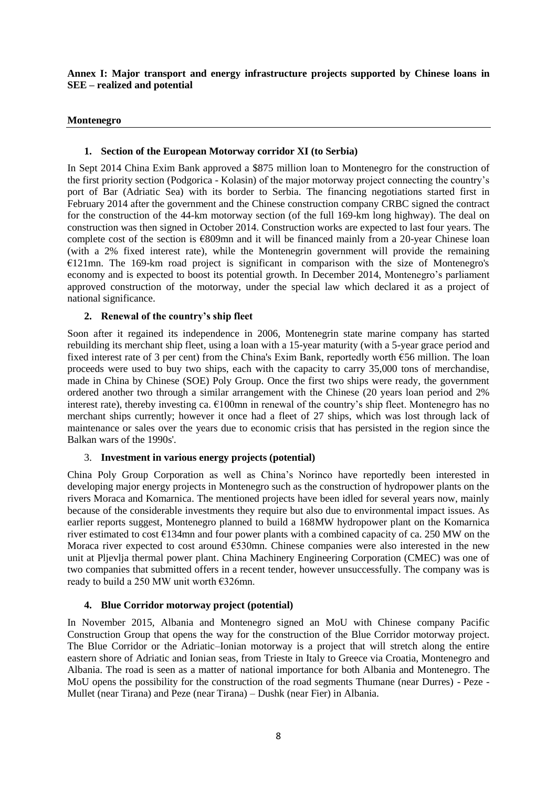**Annex I: Major transport and energy infrastructure projects supported by Chinese loans in SEE – realized and potential**

## **Montenegro**

## **1. Section of the European Motorway corridor XI (to Serbia)**

In Sept 2014 China Exim Bank approved a \$875 million loan to Montenegro for the construction of the first priority section (Podgorica - Kolasin) of the major motorway project connecting the country's port of Bar (Adriatic Sea) with its border to Serbia. The financing negotiations started first in February 2014 after the government and the Chinese construction company CRBC signed the contract for the construction of the 44-km motorway section (of the full 169-km long highway). The deal on construction was then signed in October 2014. Construction works are expected to last four years. The complete cost of the section is €809mn and it will be financed mainly from a 20-year Chinese loan (with a 2% fixed interest rate), while the Montenegrin government will provide the remaining €121mn. The 169-km road project is significant in comparison with the size of Montenegro's economy and is expected to boost its potential growth. In December 2014, Montenegro's parliament approved construction of the motorway, under the special law which declared it as a project of national significance.

## **2. Renewal of the country's ship fleet**

Soon after it regained its independence in 2006, Montenegrin state marine company has started rebuilding its merchant ship fleet, using a loan with a 15-year maturity (with a 5-year grace period and fixed interest rate of 3 per cent) from the China's Exim Bank, reportedly worth €56 million. The loan proceeds were used to buy two ships, each with the capacity to carry 35,000 tons of merchandise, made in China by Chinese (SOE) Poly Group. Once the first two ships were ready, the government ordered another two through a similar arrangement with the Chinese (20 years loan period and 2% interest rate), thereby investing ca.  $\epsilon$ 100mn in renewal of the country's ship fleet. Montenegro has no merchant ships currently; however it once had a fleet of 27 ships, which was lost through lack of maintenance or sales over the years due to economic crisis that has persisted in the region since the Balkan wars of the 1990s'.

#### 3. **Investment in various energy projects (potential)**

China Poly Group Corporation as well as China's Norinco have reportedly been interested in developing major energy projects in Montenegro such as the construction of hydropower plants on the rivers Moraca and Komarnica. The mentioned projects have been idled for several years now, mainly because of the considerable investments they require but also due to environmental impact issues. As earlier reports suggest, Montenegro planned to build a 168MW hydropower plant on the Komarnica river estimated to cost €134mn and four power plants with a combined capacity of ca. 250 MW on the Moraca river expected to cost around €530mn. Chinese companies were also interested in the new unit at Pljevlja thermal power plant. China Machinery Engineering Corporation (CMEC) was one of two companies that submitted offers in a recent tender, however unsuccessfully. The company was is ready to build a 250 MW unit worth €326mn.

## **4. Blue Corridor motorway project (potential)**

In November 2015, Albania and Montenegro signed an MoU with Chinese company Pacific Construction Group that opens the way for the construction of the Blue Corridor motorway project. The Blue Corridor or the Adriatic–Ionian motorway is a project that will stretch along the entire eastern shore of Adriatic and Ionian seas, from Trieste in Italy to Greece via Croatia, Montenegro and Albania. The road is seen as a matter of national importance for both Albania and Montenegro. The MoU opens the possibility for the construction of the road segments Thumane (near Durres) - Peze - Mullet (near Tirana) and Peze (near Tirana) – Dushk (near Fier) in Albania.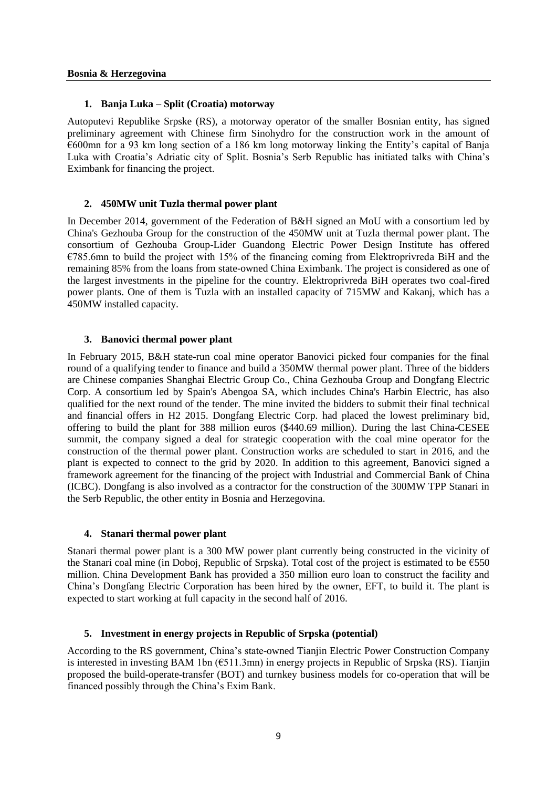## **1. Banja Luka – Split (Croatia) motorway**

Autoputevi Republike Srpske (RS), a motorway operator of the smaller Bosnian entity, has signed preliminary agreement with Chinese firm Sinohydro for the construction work in the amount of €600mn for a 93 km long section of a 186 km long motorway linking the Entity's capital of Banja Luka with Croatia's Adriatic city of Split. Bosnia's Serb Republic has initiated talks with China's Eximbank for financing the project.

## **2. 450MW unit Tuzla thermal power plant**

In December 2014, government of the Federation of B&H signed an MoU with a consortium led by China's Gezhouba Group for the construction of the 450MW unit at Tuzla thermal power plant. The consortium of Gezhouba Group-Lider Guandong Electric Power Design Institute has offered  $E$ 785.6mn to build the project with 15% of the financing coming from Elektroprivreda BiH and the remaining 85% from the loans from state-owned China Eximbank. The project is considered as one of the largest investments in the pipeline for the country. Elektroprivreda BiH operates two coal-fired power plants. One of them is Tuzla with an installed capacity of 715MW and Kakanj, which has a 450MW installed capacity.

## **3. Banovici thermal power plant**

In February 2015, B&H state-run coal mine operator Banovici picked four companies for the final round of a qualifying tender to finance and build a 350MW thermal power plant. Three of the bidders are Chinese companies Shanghai Electric Group Co., China Gezhouba Group and Dongfang Electric Corp. A consortium led by Spain's Abengoa SA, which includes China's Harbin Electric, has also qualified for the next round of the tender. The mine invited the bidders to submit their final technical and financial offers in H2 2015. Dongfang Electric Corp. had placed the lowest preliminary bid, offering to build the plant for 388 million euros (\$440.69 million). During the last China-CESEE summit, the company signed a deal for strategic cooperation with the coal mine operator for the construction of the thermal power plant. Construction works are scheduled to start in 2016, and the plant is expected to connect to the grid by 2020. In addition to this agreement, Banovici signed a framework agreement for the financing of the project with Industrial and Commercial Bank of China (ICBC). Dongfang is also involved as a contractor for the construction of the 300MW TPP Stanari in the Serb Republic, the other entity in Bosnia and Herzegovina.

## **4. Stanari thermal power plant**

Stanari thermal power plant is a 300 MW power plant currently being constructed in the vicinity of the Stanari coal mine (in Doboj, Republic of Srpska). Total cost of the project is estimated to be  $\epsilon$ 550 million. China Development Bank has provided a 350 million euro loan to construct the facility and China's Dongfang Electric Corporation has been hired by the owner, EFT, to build it. The plant is expected to start working at full capacity in the second half of 2016.

## **5. Investment in energy projects in Republic of Srpska (potential)**

According to the RS government, China's state-owned Tianjin Electric Power Construction Company is interested in investing BAM 1bn (€511.3mn) in energy projects in Republic of Srpska (RS). Tianjin proposed the build-operate-transfer (BOT) and turnkey business models for co-operation that will be financed possibly through the China's Exim Bank.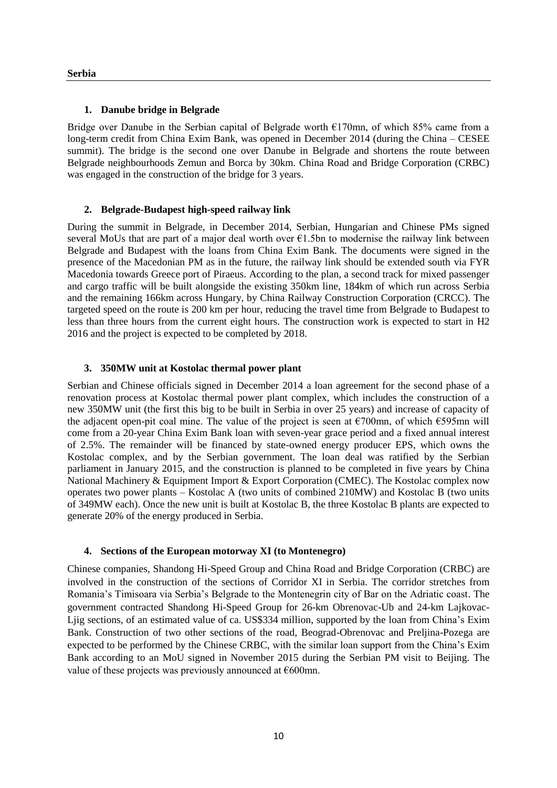## **1. Danube bridge in Belgrade**

Bridge over Danube in the Serbian capital of Belgrade worth  $E170$ mn, of which 85% came from a long-term credit from China Exim Bank, was opened in December 2014 (during the China – CESEE summit). The bridge is the second one over Danube in Belgrade and shortens the route between Belgrade neighbourhoods Zemun and Borca by 30km. China Road and Bridge Corporation (CRBC) was engaged in the construction of the bridge for 3 years.

#### **2. Belgrade-Budapest high-speed railway link**

During the summit in Belgrade, in December 2014, Serbian, Hungarian and Chinese PMs signed several MoUs that are part of a major deal worth over €1.5bn to modernise the railway link between Belgrade and Budapest with the loans from China Exim Bank. The documents were signed in the presence of the Macedonian PM as in the future, the railway link should be extended south via FYR Macedonia towards Greece port of Piraeus. According to the plan, a second track for mixed passenger and cargo traffic will be built alongside the existing 350km line, 184km of which run across Serbia and the remaining 166km across Hungary, by China Railway Construction Corporation (CRCC). The targeted speed on the route is 200 km per hour, reducing the travel time from Belgrade to Budapest to less than three hours from the current eight hours. The construction work is expected to start in H2 2016 and the project is expected to be completed by 2018.

#### **3. 350MW unit at Kostolac thermal power plant**

Serbian and Chinese officials signed in December 2014 a loan agreement for the second phase of a renovation process at Kostolac thermal power plant complex, which includes the construction of a new 350MW unit (the first this big to be built in Serbia in over 25 years) and increase of capacity of the adjacent open-pit coal mine. The value of the project is seen at  $\epsilon$ 700mn, of which  $\epsilon$ 595mn will come from a 20-year China Exim Bank loan with seven-year grace period and a fixed annual interest of 2.5%. The remainder will be financed by state-owned energy producer EPS, which owns the Kostolac complex, and by the Serbian government. The loan deal was ratified by the Serbian parliament in January 2015, and the construction is planned to be completed in five years by China National Machinery & Equipment Import & Export Corporation (CMEC). The Kostolac complex now operates two power plants – Kostolac A (two units of combined 210MW) and Kostolac B (two units of 349MW each). Once the new unit is built at Kostolac B, the three Kostolac B plants are expected to generate 20% of the energy produced in Serbia.

#### **4. Sections of the European motorway XI (to Montenegro)**

Chinese companies, Shandong Hi-Speed Group and China Road and Bridge Corporation (CRBC) are involved in the construction of the sections of Corridor XI in Serbia. The corridor stretches from Romania's Timisoara via Serbia's Belgrade to the Montenegrin city of Bar on the Adriatic coast. The government contracted Shandong Hi-Speed Group for 26-km Obrenovac-Ub and 24-km Lajkovac-Ljig sections, of an estimated value of ca. US\$334 million, supported by the loan from China's Exim Bank. Construction of two other sections of the road, Beograd-Obrenovac and Preljina-Pozega are expected to be performed by the Chinese CRBC, with the similar loan support from the China's Exim Bank according to an MoU signed in November 2015 during the Serbian PM visit to Beijing. The value of these projects was previously announced at  $\epsilon$ 600mn.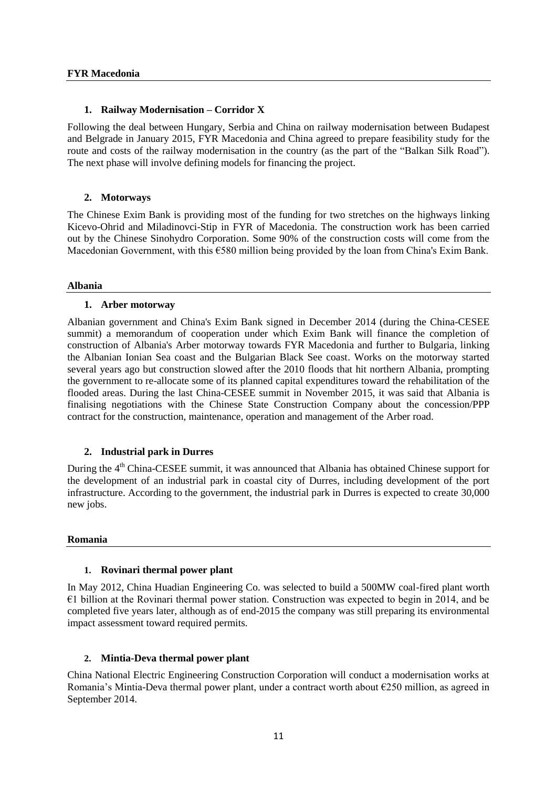## **1. Railway Modernisation – Corridor X**

Following the deal between Hungary, Serbia and China on railway modernisation between Budapest and Belgrade in January 2015, FYR Macedonia and China agreed to prepare feasibility study for the route and costs of the railway modernisation in the country (as the part of the "Balkan Silk Road"). The next phase will involve defining models for financing the project.

## **2. Motorways**

The Chinese Exim Bank is providing most of the funding for two stretches on the highways linking Kicevo-Ohrid and Miladinovci-Stip in FYR of Macedonia. The construction work has been carried out by the Chinese Sinohydro Corporation. Some 90% of the construction costs will come from the Macedonian Government, with this €580 million being provided by the loan from China's Exim Bank.

## **Albania**

## **1. Arber motorway**

Albanian government and China's Exim Bank signed in December 2014 (during the China-CESEE summit) a memorandum of cooperation under which Exim Bank will finance the completion of construction of Albania's Arber motorway towards FYR Macedonia and further to Bulgaria, linking the Albanian Ionian Sea coast and the Bulgarian Black See coast. Works on the motorway started several years ago but construction slowed after the 2010 floods that hit northern Albania, prompting the government to re-allocate some of its planned capital expenditures toward the rehabilitation of the flooded areas. During the last China-CESEE summit in November 2015, it was said that Albania is finalising negotiations with the Chinese State Construction Company about the concession/PPP contract for the construction, maintenance, operation and management of the Arber road.

## **2. Industrial park in Durres**

During the 4<sup>th</sup> China-CESEE summit, it was announced that Albania has obtained Chinese support for the development of an industrial park in coastal city of Durres, including development of the port infrastructure. According to the government, the industrial park in Durres is expected to create 30,000 new jobs.

## **Romania**

## **1. Rovinari thermal power plant**

In May 2012, China Huadian Engineering Co. was selected to build a 500MW coal-fired plant worth  $\epsilon$ 1 billion at the Rovinari thermal power station. Construction was expected to begin in 2014, and be completed five years later, although as of end-2015 the company was still preparing its environmental impact assessment toward required permits.

## **2. Mintia-Deva thermal power plant**

China National Electric Engineering Construction Corporation will conduct a modernisation works at Romania's Mintia-Deva thermal power plant, under a contract worth about €250 million, as agreed in September 2014.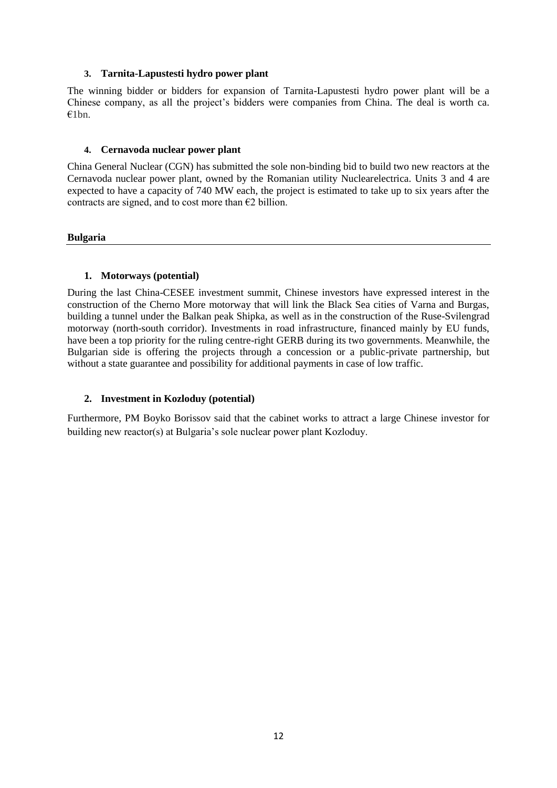## **3. Tarnita-Lapustesti hydro power plant**

The winning bidder or bidders for expansion of Tarnita-Lapustesti hydro power plant will be a Chinese company, as all the project's bidders were companies from China. The deal is worth ca. €1bn.

## **4. Cernavoda nuclear power plant**

China General Nuclear (CGN) has submitted the sole non-binding bid to build two new reactors at the Cernavoda nuclear power plant, owned by the Romanian utility Nuclearelectrica. Units 3 and 4 are expected to have a capacity of 740 MW each, the project is estimated to take up to six years after the contracts are signed, and to cost more than  $\epsilon$ 2 billion.

## **Bulgaria**

# **1. Motorways (potential)**

During the last China-CESEE investment summit, Chinese investors have expressed interest in the construction of the Cherno More motorway that will link the Black Sea cities of Varna and Burgas, building a tunnel under the Balkan peak Shipka, as well as in the construction of the Ruse-Svilengrad motorway (north-south corridor). Investments in road infrastructure, financed mainly by EU funds, have been a top priority for the ruling centre-right GERB during its two governments. Meanwhile, the Bulgarian side is offering the projects through a concession or a public-private partnership, but without a state guarantee and possibility for additional payments in case of low traffic.

## **2. Investment in Kozloduy (potential)**

Furthermore, PM Boyko Borissov said that the cabinet works to attract a large Chinese investor for building new reactor(s) at Bulgaria's sole nuclear power plant Kozloduy.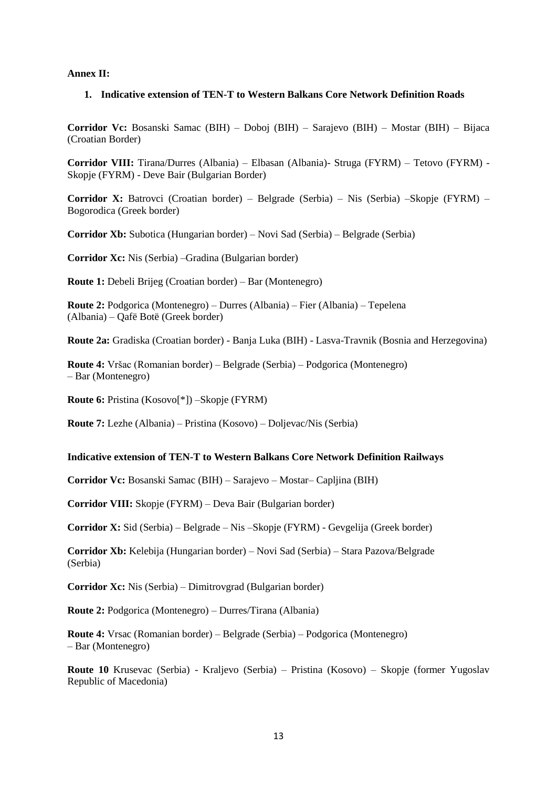**Annex II:** 

## **1. Indicative extension of TEN-T to Western Balkans Core Network Definition Roads**

**Corridor Vc:** Bosanski Samac (BIH) – Doboj (BIH) – Sarajevo (BIH) – Mostar (BIH) – Bijaca (Croatian Border)

**Corridor VIII:** Tirana/Durres (Albania) – Elbasan (Albania)- Struga (FYRM) – Tetovo (FYRM) - Skopje (FYRM) - Deve Bair (Bulgarian Border)

**Corridor X:** Batrovci (Croatian border) – Belgrade (Serbia) – Nis (Serbia) –Skopje (FYRM) – Bogorodica (Greek border)

**Corridor Xb:** Subotica (Hungarian border) – Novi Sad (Serbia) – Belgrade (Serbia)

**Corridor Xc:** Nis (Serbia) –Gradina (Bulgarian border)

**Route 1:** Debeli Brijeg (Croatian border) – Bar (Montenegro)

**Route 2:** Podgorica (Montenegro) – Durres (Albania) – Fier (Albania) – Tepelena (Albania) – Qafë Botë (Greek border)

**Route 2a:** Gradiska (Croatian border) - Banja Luka (BIH) - Lasva-Travnik (Bosnia and Herzegovina)

**Route 4:** Vršac (Romanian border) – Belgrade (Serbia) – Podgorica (Montenegro) – Bar (Montenegro)

**Route 6:** Pristina (Kosovo[\*]) –Skopje (FYRM)

**Route 7:** Lezhe (Albania) – Pristina (Kosovo) – Doljevac/Nis (Serbia)

## **Indicative extension of TEN-T to Western Balkans Core Network Definition Railways**

**Corridor Vc:** Bosanski Samac (BIH) – Sarajevo – Mostar– Capljina (BIH)

**Corridor VIII:** Skopje (FYRM) – Deva Bair (Bulgarian border)

**Corridor X:** Sid (Serbia) – Belgrade – Nis –Skopje (FYRM) - Gevgelija (Greek border)

**Corridor Xb:** Kelebija (Hungarian border) – Novi Sad (Serbia) – Stara Pazova/Belgrade (Serbia)

**Corridor Xc:** Nis (Serbia) – Dimitrovgrad (Bulgarian border)

**Route 2:** Podgorica (Montenegro) – Durres/Tirana (Albania)

**Route 4:** Vrsac (Romanian border) – Belgrade (Serbia) – Podgorica (Montenegro) – Bar (Montenegro)

**Route 10** Krusevac (Serbia) - Kraljevo (Serbia) – Pristina (Kosovo) – Skopje (former Yugoslav Republic of Macedonia)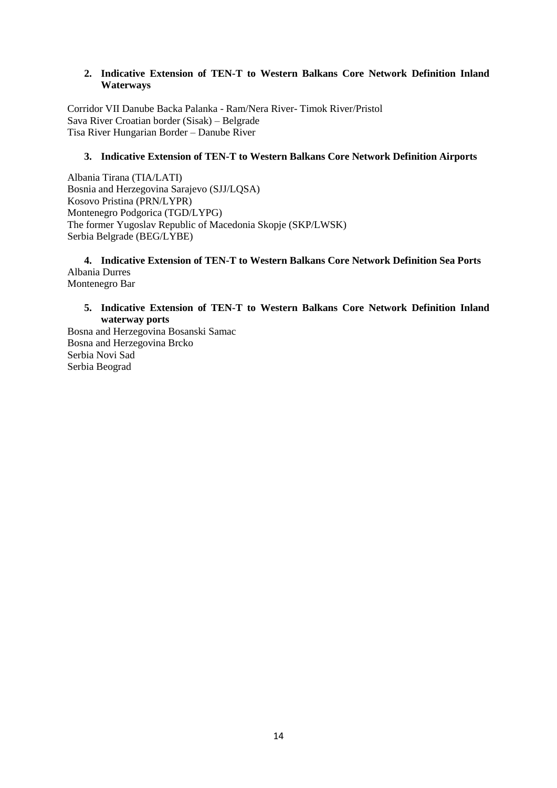## **2. Indicative Extension of TEN-T to Western Balkans Core Network Definition Inland Waterways**

Corridor VII Danube Backa Palanka - Ram/Nera River- Timok River/Pristol Sava River Croatian border (Sisak) – Belgrade Tisa River Hungarian Border – Danube River

# **3. Indicative Extension of TEN-T to Western Balkans Core Network Definition Airports**

Albania Tirana (TIA/LATI) Bosnia and Herzegovina Sarajevo (SJJ/LQSA) Kosovo Pristina (PRN/LYPR) Montenegro Podgorica (TGD/LYPG) The former Yugoslav Republic of Macedonia Skopje (SKP/LWSK) Serbia Belgrade (BEG/LYBE)

**4. Indicative Extension of TEN-T to Western Balkans Core Network Definition Sea Ports** Albania Durres Montenegro Bar

**5. Indicative Extension of TEN-T to Western Balkans Core Network Definition Inland waterway ports**

Bosna and Herzegovina Bosanski Samac Bosna and Herzegovina Brcko Serbia Novi Sad Serbia Beograd